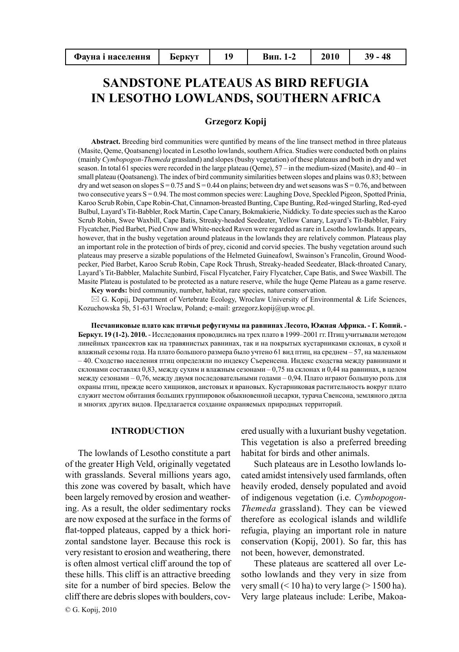| Фауна і населення | <b>bepkyt</b> |  | Вип. 1-2 | <b>2010</b> |  |
|-------------------|---------------|--|----------|-------------|--|
|-------------------|---------------|--|----------|-------------|--|

# **SANDSTONE PLATEAUS AS BIRD REFUGIA IN LESOTHO LOWLANDS, SOUTHERN AFRICA**

# **Grzegorz Kopij**

**Abstract.** Breeding bird communities were quntified by means of the line transect method in three plateaus (Masite, Qeme, Qoatsaneng) located in Lesotho lowlands, southern Africa. Studies were conducted both on plains (mainly *Cymbopogon-Themeda* grassland) and slopes (bushy vegetation) of these plateaus and both in dry and wet season. In total 61 species were recorded in the large plateau (Qeme), 57 – in the medium-sized (Masite), and 40 – in small plateau (Qoatsaneng). The index of bird community similarities between slopes and plains was 0.83; between dry and wet season on slopes  $S = 0.75$  and  $S = 0.44$  on plains; between dry and wet seasons was  $S = 0.76$ , and between two consecutive years S = 0.94. The most common species were: Laughing Dove, Speckled Pigeon, Spotted Prinia, Karoo Scrub Robin, Cape Robin-Chat, Cinnamon-breasted Bunting, Cape Bunting, Red-winged Starling, Red-eyed Bulbul, Layard's Tit-Babbler, Rock Martin, Cape Canary, Bokmakierie, Niddicky. To date species such as the Karoo Scrub Robin, Swee Waxbill, Cape Batis, Streaky-headed Seedeater, Yellow Canary, Layard's Tit-Babbler, Fairy Flycatcher, Pied Barbet, Pied Crow and White-necked Raven were regarded as rare in Lesotho lowlands. It appears, however, that in the bushy vegetation around plateaus in the lowlands they are relatively common. Plateaus play an important role in the protection of birds of prey, ciconid and corvid species. The bushy vegetation around such plateaus may preserve a sizable populations of the Helmeted Guineafowl, Swainson's Francolin, Ground Woodpecker, Pied Barbet, Karoo Scrub Robin, Cape Rock Thrush, Streaky-headed Seedeater, Black-throated Canary, Layard's Tit-Babbler, Malachite Sunbird, Fiscal Flycatcher, Fairy Flycatcher, Cape Batis, and Swee Waxbill. The Masite Plateau is postulated to be protected as a nature reserve, while the huge Qeme Plateau as a game reserve.

**Key words:** bird community, number, habitat, rare species, nature conservation.

 $\boxtimes$  G. Kopij, Department of Vertebrate Ecology, Wroclaw University of Environmental & Life Sciences, Kozuchowska 5b, 51-631 Wroclaw, Poland; e-mail: grzegorz.kopij@up.wroc.pl.

**Песчаниковые плато как птичьи рефугиумы на равнинах Лесото, Южная Африка. - Г. Копий. - Беркут. 19 (1-2). 2010.** - Исследования проводились на трех плато в 1999–2001 гг. Птиц учитывали методом линейных трансектов как на травянистых равнинах, так и на покрытых кустарниками склонах, в сухой и влажный сезоны года. На плато большого размера было учтено 61 вид птиц, на среднем – 57, на маленьком – 40. Сходство населения птиц определяли по индексу Съеренсена. Индекс сходства между равнинами и склонами составлял 0,83, между сухим и влажным сезонами – 0,75 на склонах и 0,44 на равнинах, в целом между сезонами – 0,76, между двумя последовательными годами – 0,94. Плато играют большую роль для охраны птиц, прежде всего хищников, аистовых и врановых. Кустарниковая растительность вокруг плато служит местом обитания больших группировок обыкновенной цесарки, турача Свенсона, земляного дятла и многих других видов. Предлагается создание охраняемых природных территорий.

# **INTRODUCTION**

The lowlands of Lesotho constitute a part of the greater High Veld, originally vegetated with grasslands. Several millions years ago, this zone was covered by basalt, which have been largely removed by erosion and weathering. As a result, the older sedimentary rocks are now exposed at the surface in the forms of flat-topped plateaus, capped by a thick horizontal sandstone layer. Because this rock is very resistant to erosion and weathering, there is often almost vertical cliff around the top of these hills. This cliff is an attractive breeding site for a number of bird species. Below the cliff there are debris slopes with boulders, cov-© G. Kopij, 2010

ered usually with a luxuriant bushy vegetation. This vegetation is also a preferred breeding habitat for birds and other animals.

Such plateaus are in Lesotho lowlands located amidst intensively used farmlands, often heavily eroded, densely populated and avoid of indigenous vegetation (i.e. *Cymbopogon-Themeda* grassland). They can be viewed therefore as ecological islands and wildlife refugia, playing an important role in nature conservation (Kopij, 2001). So far, this has not been, however, demonstrated.

These plateaus are scattered all over Lesotho lowlands and they very in size from very small  $(< 10$  ha) to very large  $(> 1500$  ha). Very large plateaus include: Leribe, Makoa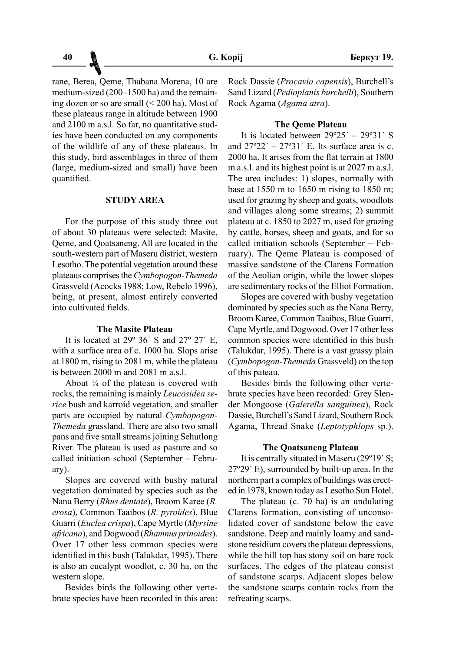rane, Berea, Qeme, Thabana Morena, 10 are medium-sized (200–1500 ha) and the remaining dozen or so are small (< 200 ha). Most of these plateaus range in altitude between 1900 and 2100 m a.s.l. So far, no quantitative studies have been conducted on any components of the wildlife of any of these plateaus. In this study, bird assemblages in three of them (large, medium-sized and small) have been quantified.

#### **STUDY AREA**

For the purpose of this study three out of about 30 plateaus were selected: Masite, Qeme, and Qoatsaneng. All are located in the south-western part of Maseru district, western Lesotho. The potential vegetation around these plateaus comprises the *Cymbopogon-Themeda* Grassveld (Acocks 1988; Low, Rebelo 1996), being, at present, almost entirely converted into cultivated fields.

## **The Masite Plateau**

It is located at  $29^{\circ}$  36<sup>'</sup> S and  $27^{\circ}$  27<sup>'</sup> E, with a surface area of c. 1000 ha. Slops arise at 1800 m, rising to 2081 m, while the plateau is between 2000 m and 2081 m a.s.l.

About  $\frac{1}{4}$  of the plateau is covered with rocks, the remaining is mainly *Leucosidea serice* bush and karroid vegetation, and smaller parts are occupied by natural *Cymbopogon-Themeda* grassland. There are also two small pans and five small streams joining Sehutlong River. The plateau is used as pasture and so called initiation school (September – February).

Slopes are covered with bushy natural vegetation dominated by species such as the Nana Berry (*Rhus dentate*), Broom Karee (*R. erosa*), Common Taaibos (*R. pyroides*), Blue Guarri (*Euclea crispa*), Cape Myrtle (*Myrsine africana*), and Dogwood (*Rhamnus prinoides*). Over 17 other less common species were identified in this bush (Talukdar, 1995). There is also an eucalypt woodlot, c. 30 ha, on the western slope.

Besides birds the following other vertebrate species have been recorded in this area: Rock Dassie (*Procavia capensis*), Burchell's Sand Lizard (*Pedioplanis burchelli*), Southern Rock Agama (*Agama atra*).

### **The Qeme Plateau**

It is located between  $29^{\circ}25' - 29^{\circ}31'$  S and  $27^{\circ}22' = 27^{\circ}31'$  E. Its surface area is c. 2000 ha. It arises from the flat terrain at 1800 m a.s.l. and its highest point is at 2027 m a.s.l. The area includes: 1) slopes, normally with base at 1550 m to 1650 m rising to 1850 m; used for grazing by sheep and goats, woodlots and villages along some streams; 2) summit plateau at c. 1850 to 2027 m, used for grazing by cattle, horses, sheep and goats, and for so called initiation schools (September – February). The Qeme Plateau is composed of massive sandstone of the Clarens Formation of the Aeolian origin, while the lower slopes are sedimentary rocks of the Elliot Formation.

Slopes are covered with bushy vegetation dominated by species such as the Nana Berry, Broom Karee, Common Taaibos, Blue Guarri, Cape Myrtle, and Dogwood. Over 17 other less common species were identified in this bush (Talukdar, 1995). There is a vast grassy plain (*Cymbopogon-Themeda* Grassveld) on the top of this pateau.

Besides birds the following other vertebrate species have been recorded: Grey Slender Mongoose (*Galerella sanguinea*), Rock Dassie, Burchell's Sand Lizard, Southern Rock Agama, Thread Snake (*Leptotyphlops* sp.).

#### **The Qoatsaneng Plateau**

It is centrally situated in Maseru (29º19´ S; 27º29´ E), surrounded by built-up area. In the northern part a complex of buildings was erected in 1978, known today as Lesotho Sun Hotel.

The plateau (c. 70 ha) is an undulating Clarens formation, consisting of unconsolidated cover of sandstone below the cave sandstone. Deep and mainly loamy and sandstone residium covers the plateau depressions, while the hill top has stony soil on bare rock surfaces. The edges of the plateau consist of sandstone scarps. Adjacent slopes below the sandstone scarps contain rocks from the refreating scarps.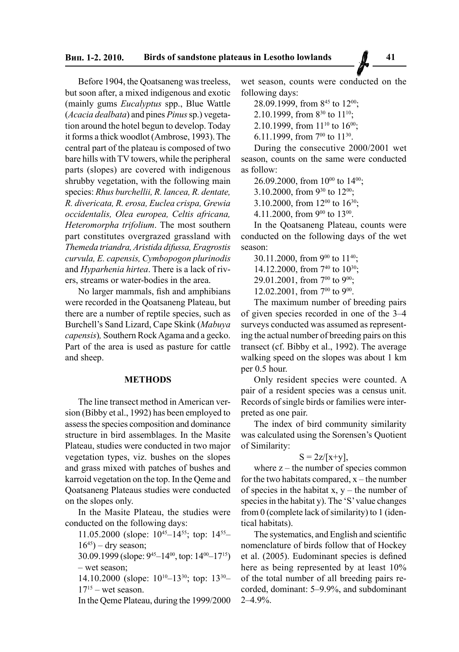Before 1904, the Qoatsaneng was treeless, but soon after, a mixed indigenous and exotic (mainly gums *Eucalyptus* spp., Blue Wattle (*Acacia dealbata*) and pines *Pinus* sp.) vegetation around the hotel begun to develop. Today it forms a thick woodlot (Ambrose, 1993). The central part of the plateau is composed of two bare hills with TV towers, while the peripheral parts (slopes) are covered with indigenous shrubby vegetation, with the following main species: *Rhus burchellii, R. lancea, R. dentate, R. divericata, R. erosa, Euclea crispa, Grewia occidentalis, Olea europea, Celtis africana, Heteromorpha trifolium*. The most southern part constitutes overgrazed grassland with *Themeda triandra, Aristida difussa, Eragrostis curvula, E. capensis, Cymbopogon plurinodis*  and *Hyparhenia hirtea*. There is a lack of rivers, streams or water-bodies in the area.

No larger mammals, fish and amphibians were recorded in the Qoatsaneng Plateau, but there are a number of reptile species, such as Burchell's Sand Lizard, Cape Skink (*Mabuya capensis*)*,* Southern Rock Agama and a gecko. Part of the area is used as pasture for cattle and sheep.

### **METHODS**

The line transect method in American version (Bibby et al., 1992) has been employed to assess the species composition and dominance structure in bird assemblages. In the Masite Plateau, studies were conducted in two major vegetation types, viz. bushes on the slopes and grass mixed with patches of bushes and karroid vegetation on the top. In the Qeme and Qoatsaneng Plateaus studies were conducted on the slopes only.

In the Masite Plateau, the studies were conducted on the following days:

11.05.2000 (slope: 1045–1455; top: 1455–  $16^{45}$ ) – dry season;

30.09.1999 (slope: 945–1400, top: 1400–1715) – wet season;

14.10.2000 (slope: 1010–1330; top: 1330–  $17^{15}$  – wet season.

In the Qeme Plateau, during the 1999/2000

wet season, counts were conducted on the following days:

28.09.1999, from 8<sup>45</sup> to 12<sup>00</sup>;

2.10.1999, from  $8^{30}$  to  $11^{10}$ :

2.10.1999, from  $11^{10}$  to  $16^{00}$ ;

6.11.1999, from  $7^{00}$  to  $11^{30}$ .

During the consecutive 2000/2001 wet season, counts on the same were conducted as follow:

26.09.2000, from  $10^{00}$  to  $14^{00}$ ;

3.10.2000, from 9<sup>30</sup> to 12<sup>00</sup>;

3.10.2000, from  $12^{00}$  to  $16^{30}$ ;

4.11.2000, from 9<sup>00</sup> to 13<sup>00</sup>.

In the Qoatsaneng Plateau, counts were conducted on the following days of the wet season:

30.11.2000, from 9<sup>00</sup> to 11<sup>40</sup>; 14.12.2000, from 740 to 1030; 29.01.2001, from 700 to 900; 12.02.2001, from  $7^{00}$  to  $9^{00}$ .

The maximum number of breeding pairs of given species recorded in one of the 3–4 surveys conducted was assumed as representing the actual number of breeding pairs on this transect (cf. Bibby et al., 1992). The average walking speed on the slopes was about 1 km per 0.5 hour.

Only resident species were counted. A pair of a resident species was a census unit. Records of single birds or families were interpreted as one pair.

The index of bird community similarity was calculated using the Sorensen's Quotient of Similarity:

$$
S = 2z/[x+y],
$$

where  $z$  – the number of species common for the two habitats compared,  $x$  – the number of species in the habitat x,  $y$  – the number of species in the habitat y). The 'S' value changes from 0 (complete lack of similarity) to 1 (identical habitats).

The systematics, and English and scientific nomenclature of birds follow that of Hockey et al. (2005). Eudominant species is defined here as being represented by at least 10% of the total number of all breeding pairs recorded, dominant: 5–9.9%, and subdominant 2–4.9%.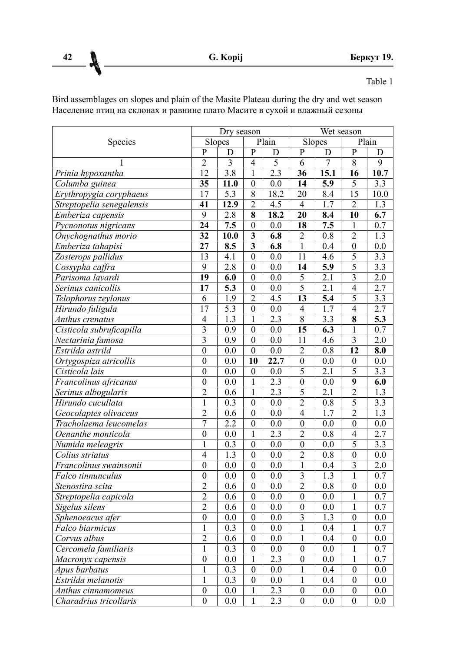**42 G. Kopij Беркут 19.**

Table 1

Bird assemblages on slopes and plain of the Masite Plateau during the dry and wet season Население птиц на склонах и равнине плато Масите в сухой и влажный сезоны

|                           | Dry season       |                  |                         | Wet season        |                         |                  |                           |                   |
|---------------------------|------------------|------------------|-------------------------|-------------------|-------------------------|------------------|---------------------------|-------------------|
| Species                   |                  | Slopes           | Plain                   |                   | Slopes                  |                  | Plain                     |                   |
|                           | P                | D                | $\mathbf{P}$            | D                 | P                       | D                | P                         | D                 |
|                           | $\overline{2}$   | $\overline{3}$   | $\overline{4}$          | $\overline{5}$    | 6                       | $\overline{7}$   | $\overline{8}$            | 9                 |
| Prinia hypoxantha         | 12               | $\overline{3.8}$ | $\mathbf{1}$            | $\overline{2.3}$  | 36                      | 15.1             | 16                        | 10.7              |
| Columba guinea            | $\overline{35}$  | 11.0             | $\overline{0}$          | 0.0               | 14                      | 5.9              | 5                         | 3.3               |
| Erythropygia coryphaeus   | 17               | $\overline{5.3}$ | $\overline{8}$          | 18.2              | $\overline{20}$         | 8.4              | $\overline{15}$           | $\overline{10.0}$ |
| Streptopelia senegalensis | $\overline{41}$  | 12.9             | $\overline{2}$          | $\overline{4.5}$  | 4                       | $\overline{1.7}$ | $\overline{c}$            | $\overline{1.3}$  |
| Emberiza capensis         | $\overline{9}$   | 2.8              | 8                       | 18.2              | 20                      | 8.4              | $\overline{10}$           | 6.7               |
| Pycnonotus nigricans      | 24               | 7.5              | $\mathbf{0}$            | 0.0               | 18                      | 7.5              | 1                         | 0.7               |
| Onychognathus morio       | $\overline{32}$  | 10.0             | $\overline{\mathbf{3}}$ | 6.8               | 2                       | 0.8              | $\overline{2}$            | 1.3               |
| Emberiza tahapisi         | $\overline{27}$  | 8.5              | $\overline{\mathbf{3}}$ | 6.8               | $\overline{1}$          | 0.4              | $\overline{0}$            | $\overline{0.0}$  |
| Zosterops pallidus        | 13               | 4.1              | $\boldsymbol{0}$        | 0.0               | 11                      | 4.6              | 5                         | 3.3               |
| Cossypha caffra           | 9                | 2.8              | $\boldsymbol{0}$        | 0.0               | 14                      | $\overline{5.9}$ | $\overline{5}$            | 3.3               |
| Parisoma layardi          | $\overline{19}$  | 6.0              | $\overline{0}$          | $\overline{0.0}$  | $\overline{5}$          | $\overline{2.1}$ | $\overline{\overline{3}}$ | $\overline{2.0}$  |
| Serinus canicollis        | $\overline{17}$  | $\overline{5.3}$ | 0                       | 0.0               | $\overline{5}$          | $\overline{2.1}$ | $\overline{4}$            | $\overline{2.7}$  |
| Telophorus zeylonus       | 6                | 1.9              | $\overline{c}$          | 4.5               | $\overline{13}$         | $\overline{5.4}$ | $\overline{5}$            | 3.3               |
| Hirundo fuligula          | 17               | $\overline{5.3}$ | $\boldsymbol{0}$        | 0.0               | $\overline{4}$          | 1.7              | $\overline{4}$            | 2.7               |
| Anthus crenatus           | $\overline{4}$   | $\overline{1.3}$ | $\mathbf{1}$            | $\overline{2.3}$  | $\overline{8}$          | 3.3              | $\overline{\bf 8}$        | 5.3               |
| Cisticola subruficapilla  | $\overline{3}$   | $\overline{0.9}$ | $\overline{0}$          | $\overline{0.0}$  | $\overline{15}$         | $\overline{6.3}$ | 1                         | $\overline{0.7}$  |
| Nectarinia famosa         | 3                | 0.9              | $\boldsymbol{0}$        | $\overline{0.0}$  | 11                      | 4.6              | 3                         | 2.0               |
| Estrilda astrild          | $\overline{0}$   | 0.0              | $\boldsymbol{0}$        | 0.0               | $\overline{2}$          | 0.8              | $\overline{12}$           | 8.0               |
| Ortygospiza atricollis    | $\overline{0}$   | 0.0              | $\overline{10}$         | $\overline{22.7}$ | $\overline{0}$          | 0.0              | $\boldsymbol{0}$          | 0.0               |
| Cisticola lais            | $\theta$         | 0.0              | $\boldsymbol{0}$        | 0.0               | $\overline{5}$          | $\overline{2.1}$ | $\overline{5}$            | 3.3               |
| Francolinus africanus     | $\mathbf{0}$     | 0.0              | $\mathbf{1}$            | $\overline{2.3}$  | $\boldsymbol{0}$        | 0.0              | $\overline{9}$            | 6.0               |
| Serinus albogularis       | $\overline{2}$   | 0.6              | $\mathbf{1}$            | $\overline{2.3}$  | $\overline{5}$          | 2.1              | $\overline{2}$            | 1.3               |
| Hirundo cucullata         | 1                | 0.3              | $\boldsymbol{0}$        | 0.0               | $\overline{2}$          | 0.8              | 5                         | $\overline{3.3}$  |
| Geocolaptes olivaceus     | $\overline{2}$   | 0.6              | $\boldsymbol{0}$        | 0.0               | $\overline{4}$          | 1.7              | $\overline{2}$            | $\overline{1.3}$  |
| Tracholaema leucomelas    | $\overline{7}$   | $\overline{2.2}$ | $\overline{0}$          | 0.0               | $\boldsymbol{0}$        | 0.0              | $\boldsymbol{0}$          | 0.0               |
| Oenanthe monticola        | $\mathbf{0}$     | 0.0              | $\mathbf{1}$            | 2.3               | $\overline{2}$          | 0.8              | $\overline{4}$            | 2.7               |
| Numida meleagris          | 1                | $\overline{0.3}$ | $\overline{0}$          | 0.0               | $\overline{0}$          | 0.0              | $\overline{5}$            | 3.3               |
| Colius striatus           | $\overline{4}$   | $\overline{1.3}$ | $\boldsymbol{0}$        | 0.0               | $\overline{2}$          | 0.8              | $\boldsymbol{0}$          | 0.0               |
| Francolinus swainsonii    | $\mathbf{0}$     | 0.0              | $\boldsymbol{0}$        | 0.0               | 1                       | 0.4              | $\overline{\mathbf{3}}$   | 2.0               |
| Falco tinnunculus         | $\theta$         | 0.0              | $\overline{0}$          | 0.0               | $\overline{\mathbf{3}}$ | 1.3              | $\mathbf 1$               | 0.7               |
| Stenostira scita          | $\overline{2}$   | 0.6              | 0                       | 0.0               | $\overline{2}$          | 0.8              | $\boldsymbol{0}$          | 0.0               |
| Streptopelia capicola     | $\overline{2}$   | 0.6              | $\boldsymbol{0}$        | 0.0               | $\overline{0}$          | 0.0              | 1                         | 0.7               |
| Sigelus silens            | $\overline{2}$   | 0.6              | $\boldsymbol{0}$        | 0.0               | $\boldsymbol{0}$        | 0.0              | 1                         | $\overline{0.7}$  |
| Sphenoeacus afer          | $\mathbf{0}$     | 0.0              | $\mathbf{0}$            | 0.0               | 3                       | 1.3              | $\mathbf{0}$              | 0.0               |
| Falco biarmicus           | $\mathbf{1}$     | 0.3              | $\boldsymbol{0}$        | 0.0               | 1                       | 0.4              | 1                         | 0.7               |
| Corvus albus              | $\overline{2}$   | 0.6              | $\boldsymbol{0}$        | 0.0               | 1                       | 0.4              | $\boldsymbol{0}$          | 0.0               |
| Cercomela familiaris      | 1                | $\overline{0.3}$ | $\boldsymbol{0}$        | 0.0               | $\overline{0}$          | 0.0              | $\mathbf 1$               | $\overline{0.7}$  |
| Macronyx capensis         | $\boldsymbol{0}$ | 0.0              | $\mathbf{1}$            | $\overline{2.3}$  | $\theta$                | 0.0              | $\mathbf 1$               | 0.7               |
| Apus barbatus             | 1                | 0.3              | $\boldsymbol{0}$        | 0.0               | 1                       | 0.4              | $\boldsymbol{0}$          | 0.0               |
| Estrilda melanotis        | 1                | $\overline{0.3}$ | $\boldsymbol{0}$        | 0.0               | 1                       | 0.4              | $\boldsymbol{0}$          | 0.0               |
| Anthus cinnamomeus        | $\mathbf{0}$     | 0.0              | 1                       | $\overline{2.3}$  | $\boldsymbol{0}$        | 0.0              | $\boldsymbol{0}$          | 0.0               |
| Charadrius tricollaris    | $\theta$         | 0.0              | 1                       | $\overline{2.3}$  | $\theta$                | 0.0              | $\theta$                  | 0.0               |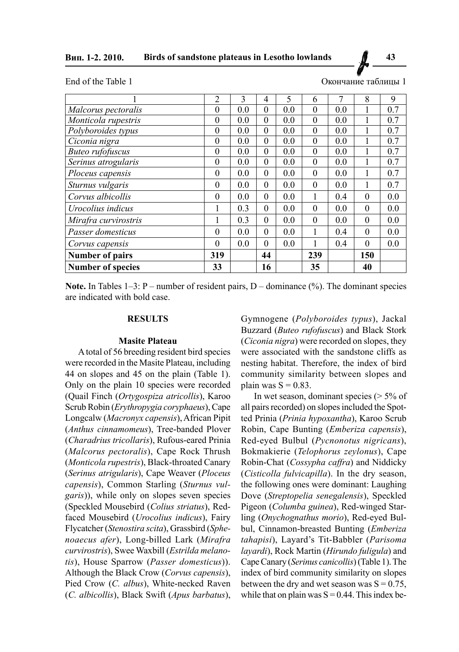**Вип. 1-2. 2010. Birds of sandstone plateaus in Lesotho lowlands 43**

End of the Table 1

| Окончание таблицы |  |  |
|-------------------|--|--|
|-------------------|--|--|

|                          | $\overline{2}$ | 3   | 4        | 5   | 6        | 7   | 8        | 9   |
|--------------------------|----------------|-----|----------|-----|----------|-----|----------|-----|
| Malcorus pectoralis      | $\theta$       | 0.0 | $\theta$ | 0.0 | $\theta$ | 0.0 |          | 0.7 |
| Monticola rupestris      | $\overline{0}$ | 0.0 | $\theta$ | 0.0 | $\theta$ | 0.0 |          | 0.7 |
| Polyboroides typus       | $\overline{0}$ | 0.0 | $\theta$ | 0.0 | $\theta$ | 0.0 |          | 0.7 |
| Ciconia nigra            | $\overline{0}$ | 0.0 | $\theta$ | 0.0 | $\theta$ | 0.0 |          | 0.7 |
| <b>Buteo rufofuscus</b>  | $\theta$       | 0.0 | $\Omega$ | 0.0 | $\theta$ | 0.0 |          | 0.7 |
| Serinus atrogularis      | $\theta$       | 0.0 | $\theta$ | 0.0 | $\theta$ | 0.0 |          | 0.7 |
| Ploceus capensis         | $\theta$       | 0.0 | $\theta$ | 0.0 | $\theta$ | 0.0 | 1        | 0.7 |
| Sturnus vulgaris         | $\theta$       | 0.0 | $\theta$ | 0.0 | $\theta$ | 0.0 | 1        | 0.7 |
| Corvus albicollis        | $\theta$       | 0.0 | $\theta$ | 0.0 | 1        | 0.4 | $\theta$ | 0.0 |
| Urocolius indicus        | 1              | 0.3 | $\theta$ | 0.0 | $\theta$ | 0.0 | $\theta$ | 0.0 |
| Mirafra curvirostris     | 1              | 0.3 | $\theta$ | 0.0 | $\theta$ | 0.0 | $\theta$ | 0.0 |
| Passer domesticus        | $\theta$       | 0.0 | $\theta$ | 0.0 | 1        | 0.4 | $\theta$ | 0.0 |
| Corvus capensis          | $\theta$       | 0.0 | $\Omega$ | 0.0 | 1        | 0.4 | $\Omega$ | 0.0 |
| <b>Number of pairs</b>   | 319            |     | 44       |     | 239      |     | 150      |     |
| <b>Number of species</b> | 33             |     | 16       |     | 35       |     | 40       |     |

**Note.** In Tables 1–3: P – number of resident pairs, D – dominance (%). The dominant species are indicated with bold case.

### **RESULTS**

#### **Masite Plateau**

A total of 56 breeding resident bird species were recorded in the Masite Plateau, including 44 on slopes and 45 on the plain (Table 1). Only on the plain 10 species were recorded (Quail Finch (*Ortygospiza atricollis*), Karoo Scrub Robin (*Erythropygia coryphaeus*), Cape Longcalw (*Macronyx capensis*), African Pipit (*Anthus cinnamomeus*), Tree-banded Plover (*Charadrius tricollaris*), Rufous-eared Prinia (*Malcorus pectoralis*), Cape Rock Thrush (*Monticola rupestris*), Black-throated Canary (*Serinus atrigularis*), Cape Weaver (*Ploceus capensis*), Common Starling (*Sturnus vulgaris*)), while only on slopes seven species (Speckled Mousebird (*Colius striatus*), Redfaced Mousebird (*Urocolius indicus*), Fairy Flycatcher (*Stenostira scita*), Grassbird (*Sphenoaecus afer*), Long-billed Lark (*Mirafra curvirostris*), Swee Waxbill (*Estrilda melanotis*), House Sparrow (*Passer domesticus*)). Although the Black Crow (*Corvus capensis*), Pied Crow (*C. albus*), White-necked Raven (*C. albicollis*), Black Swift (*Apus barbatus*),

Gymnogene (*Polyboroides typus*), Jackal Buzzard (*Buteo rufofuscus*) and Black Stork (*Ciconia nigra*) were recorded on slopes, they were associated with the sandstone cliffs as nesting habitat. Therefore, the index of bird community similarity between slopes and plain was  $S = 0.83$ .

In wet season, dominant species (> 5% of all pairs recorded) on slopes included the Spotted Prinia (*Prinia hypoxantha*), Karoo Scrub Robin, Cape Bunting (*Emberiza capensis*), Red-eyed Bulbul (*Pycnonotus nigricans*), Bokmakierie (*Telophorus zeylonus*), Cape Robin-Chat (*Cossypha caffra*) and Niddicky (*Cisticolla fulvicapilla*). In the dry season, the following ones were dominant: Laughing Dove (*Streptopelia senegalensis*), Speckled Pigeon (*Columba guinea*), Red-winged Starling (*Onychognathus morio*), Red-eyed Bulbul, Cinnamon-breasted Bunting (*Emberiza tahapisi*), Layard's Tit-Babbler (*Parisoma layardi*), Rock Martin (*Hirundo fuligula*) and Cape Canary (*Serinus canicollis*) (Table 1). The index of bird community similarity on slopes between the dry and wet season was  $S = 0.75$ , while that on plain was  $S = 0.44$ . This index be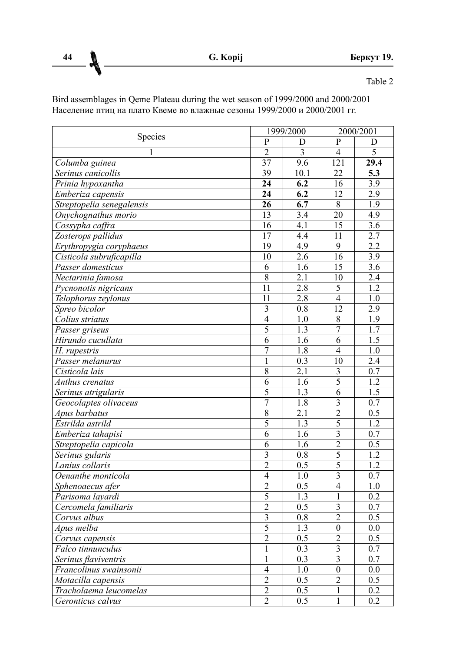**44 G. Kopij Беркут 19.**

Table 2

Bird assemblages in Qeme Plateau during the wet season of 1999/2000 and 2000/2001 Население птиц на плато Квеме во влажные сезоны 1999/2000 и 2000/2001 гг.

| Species                   | 1999/2000                 |                  | 2000/2001               |                   |
|---------------------------|---------------------------|------------------|-------------------------|-------------------|
|                           | P                         | D                | P                       | D                 |
| 1                         | $\overline{2}$            | 3                | 4                       | 5                 |
| Columba guinea            | 37                        | 9.6              | 121                     | $\overline{29.4}$ |
| Serinus canicollis        | 39                        | 10.1             | 22                      | 5.3               |
| Prinia hypoxantha         | 24                        | 6.2              | 16                      | 3.9               |
| Emberiza capensis         | 24                        | 6.2              | 12                      | $\overline{2.9}$  |
| Streptopelia senegalensis | 26                        | 6.7              | 8                       | 1.9               |
| Onychognathus morio       | 13                        | 3.4              | 20                      | 4.9               |
| Cossypha caffra           | 16                        | 4.1              | 15                      | 3.6               |
| Zosterops pallidus        | 17                        | $\overline{4.4}$ | 11                      | 2.7               |
| Erythropygia coryphaeus   | $\overline{19}$           | 4.9              | 9                       | 22                |
| Cisticola subruficapilla  | 10                        | 2.6              | 16                      | 3.9               |
| Passer domesticus         | 6                         | 1.6              | $\overline{15}$         | $\overline{3.6}$  |
| Nectarinia famosa         | $\overline{8}$            | $\overline{2.1}$ | $\overline{10}$         | 2.4               |
| Pycnonotis nigricans      | 11                        | 2.8              | 5                       | 12                |
| Telophorus zeylonus       | 11                        | 2.8              | $\overline{4}$          | 1.0               |
| Spreo bicolor             | 3                         | 0.8              | 12                      | 2.9               |
| Colius striatus           | 4                         | 1.0              | 8                       | 1.9               |
| Passer griseus            | $\overline{5}$            | 1.3              | $\overline{7}$          | 1.7               |
| Hirundo cucullata         | 6                         | 1.6              | 6                       | 1.5               |
| H. rupestris              | 7                         | 1.8              | 4                       | 1 <sub>0</sub>    |
| Passer melanurus          | $\mathbf{1}$              | 0.3              | 10                      | 2.4               |
| Cisticola lais            | $\overline{8}$            | 2.1              | $\overline{3}$          | 0.7               |
| Anthus crenatus           | 6                         | 1.6              | $\overline{5}$          | 1.2               |
| Serinus atrigularis       | 5                         | 1.3              | 6                       | 1.5               |
| Geocolaptes olivaceus     | 7                         | $\overline{1.8}$ | $\overline{3}$          | 0.7               |
| Apus barbatus             | $\overline{8}$            | $\overline{2.1}$ | $\overline{2}$          | $0.\overline{5}$  |
| Estrilda astrild          | 5                         | 1.3              | 5                       | 1.2               |
| Emberiza tahapisi         | 6                         | 1.6              | $\overline{\mathbf{3}}$ | 0.7               |
| Streptopelia capicola     | 6                         | 1.6              | $\overline{2}$          | 0.5               |
| Serinus gularis           | $\overline{\overline{3}}$ | $\overline{0.8}$ | $\overline{5}$          | $\overline{1.2}$  |
| Lanius collaris           | $\overline{2}$            | 0.5              | $\overline{5}$          | 1.2               |
| Oenanthe monticola        | $\overline{4}$            | 1.0              | $\overline{3}$          | 0.7               |
| Sphenoaecus afer          | $\overline{2}$            | 0.5              | 4                       | 1.0               |
| Parisoma layardi          | $\overline{5}$            | $\overline{1.3}$ | $\mathbf{1}$            | 0.2               |
| Cercomela familiaris      | $\overline{c}$            | 0.5              | 3                       | 0.7               |
| Corvus albus              | $\overline{3}$            | 0.8              | $\overline{2}$          | $\overline{0.5}$  |
| Apus melba                | 5                         | 1.3              | $\boldsymbol{0}$        | 0.0               |
| Corvus capensis           | $\overline{2}$            | $\overline{0.5}$ | $\overline{2}$          | 0.5               |
| Falco tinnunculus         | 1                         | 0.3              | $\overline{3}$          | 0.7               |
| Serinus flaviventris      | 1                         | 0.3              | 3                       | 0.7               |
| Francolinus swainsonii    | $\overline{4}$            | 1.0              | $\boldsymbol{0}$        | 0.0               |
| Motacilla capensis        | $\overline{2}$            | $\overline{0.5}$ | $\overline{2}$          | $\overline{0.5}$  |
| Tracholaema leucomelas    | $\overline{2}$            | 0.5              | 1                       | 0.2               |
| Geronticus calvus         | $\overline{2}$            | 0.5              | $\mathbf{1}$            | 0.2               |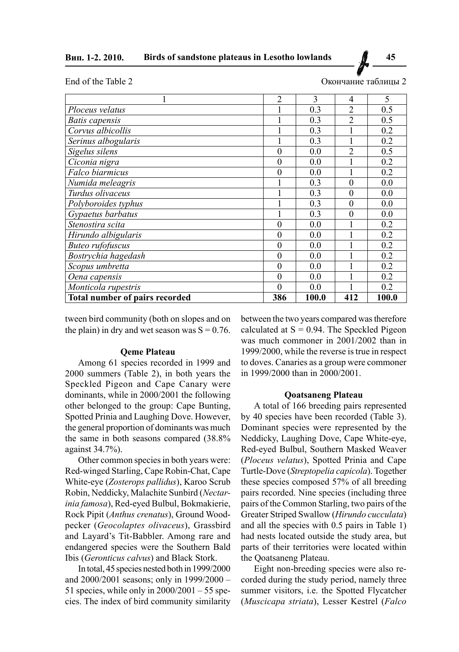| End of the Table 2 |  |  |  |
|--------------------|--|--|--|
|                    |  |  |  |

Окончание таблицы 2

|                                | $\overline{2}$ | 3     | 4              | 5     |
|--------------------------------|----------------|-------|----------------|-------|
| Ploceus velatus                |                | 0.3   | 2              | 0.5   |
| Batis capensis                 |                | 0.3   | $\overline{2}$ | 0.5   |
| Corvus albicollis              |                | 0.3   |                | 0.2   |
| Serinus albogularis            |                | 0.3   | 1              | 0.2   |
| Sigelus silens                 | $\theta$       | 0.0   | $\mathfrak{D}$ | 0.5   |
| Ciconia nigra                  | $\theta$       | 0.0   |                | 0.2   |
| Falco biarmicus                | $\theta$       | 0.0   |                | 0.2   |
| Numida meleagris               |                | 0.3   | $\theta$       | 0.0   |
| Turdus olivaceus               |                | 0.3   | $\theta$       | 0.0   |
| Polyboroides typhus            |                | 0.3   | $\theta$       | 0.0   |
| Gypaetus barbatus              |                | 0.3   | $\Omega$       | 0.0   |
| Stenostira scita               | $\theta$       | 0.0   |                | 0.2   |
| Hirundo albigularis            | $\Omega$       | 0.0   |                | 0.2   |
| <b>Buteo</b> rufofuscus        | $\theta$       | 0.0   |                | 0.2   |
| Bostrychia hagedash            | $\theta$       | 0.0   |                | 0.2   |
| Scopus umbretta                | $\theta$       | 0.0   |                | 0.2   |
| Oena capensis                  | $\Omega$       | 0.0   |                | 0.2   |
| Monticola rupestris            | $\Omega$       | 0.0   |                | 0.2   |
| Total number of pairs recorded | 386            | 100.0 | 412            | 100.0 |

tween bird community (both on slopes and on the plain) in dry and wet season was  $S = 0.76$ .

#### **Qeme Plateau**

Among 61 species recorded in 1999 and 2000 summers (Table 2), in both years the Speckled Pigeon and Cape Canary were dominants, while in 2000/2001 the following other belonged to the group: Cape Bunting, Spotted Prinia and Laughing Dove. However, the general proportion of dominants was much the same in both seasons compared (38.8% against 34.7%).

Other common species in both years were: Red-winged Starling, Cape Robin-Chat, Cape White-eye (*Zosterops pallidus*), Karoo Scrub Robin, Neddicky, Malachite Sunbird (*Nectarinia famosa*), Red-eyed Bulbul, Bokmakierie, Rock Pipit (*Anthus crenatus*), Ground Woodpecker (*Geocolaptes olivaceus*), Grassbird and Layard's Tit-Babbler. Among rare and endangered species were the Southern Bald Ibis (*Geronticus calvus*) and Black Stork.

In total, 45 species nested both in 1999/2000 and 2000/2001 seasons; only in 1999/2000 – 51 species, while only in 2000/2001 – 55 species. The index of bird community similarity between the two years compared was therefore calculated at  $S = 0.94$ . The Speckled Pigeon was much commoner in 2001/2002 than in 1999/2000, while the reverse is true in respect to doves. Canaries as a group were commoner in 1999/2000 than in 2000/2001.

#### **Qoatsaneng Plateau**

A total of 166 breeding pairs represented by 40 species have been recorded (Table 3). Dominant species were represented by the Neddicky, Laughing Dove, Cape White-eye, Red-eyed Bulbul, Southern Masked Weaver (*Ploceus velatus*), Spotted Prinia and Cape Turtle-Dove (*Streptopelia capicola*). Together these species composed 57% of all breeding pairs recorded. Nine species (including three pairs of the Common Starling, two pairs of the Greater Striped Swallow (*Hirundo cucculata*) and all the species with 0.5 pairs in Table 1) had nests located outside the study area, but parts of their territories were located within the Qoatsaneng Plateau.

Eight non-breeding species were also recorded during the study period, namely three summer visitors, i.e. the Spotted Flycatcher (*Muscicapa striata*), Lesser Kestrel (*Falco*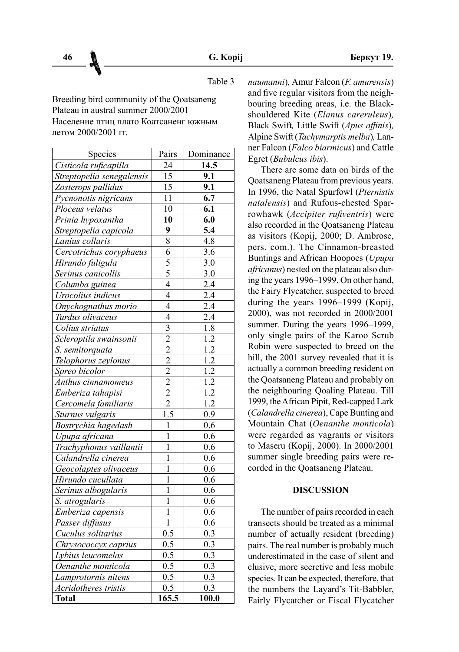Table 3

Breeding bird community of the Qoatsaneng Plateau in austral summer 2000/2001 Население птиц плато Коатсаненг южным летом 2000/2001 гг.

| Species                   | Pairs            | Dominance        |
|---------------------------|------------------|------------------|
| Cisticola ruficapilla     | 24               | 14.5             |
| Streptopelia senegalensis | 15               | 9.1              |
| Zosterops pallidus        | 15               | 9.1              |
| Pycnonotis nigricans      | 11               | 6.7              |
| Ploceus velatus           | 10               | 6.1              |
| Prinia hypoxantha         | 10               | 6.0              |
| Streptopelia capicola     | 9                | 5.4              |
| Lanius collaris           | 8                | 4.8              |
| Cercotrichas coryphaeus   | $\overline{6}$   | $\overline{3.6}$ |
| Hirundo fuligula          | 5                | 3.0              |
| Serinus canicollis        | $\overline{5}$   | 3.0              |
| Columba guinea            | $\overline{4}$   | 2.4              |
| Urocolius indicus         | $\overline{4}$   | $\overline{2.4}$ |
| Onychognathus morio       | $\overline{4}$   | $\overline{2.4}$ |
| Turdus olivaceus          | $\overline{4}$   | 2.4              |
| Colius striatus           | $\overline{3}$   | $\overline{1}.8$ |
| Scleroptila swainsonii    | $\overline{2}$   | $\overline{1.2}$ |
| S. semitorquata           | $\overline{2}$   | $\overline{1.2}$ |
| Telophorus zeylonus       | $\overline{2}$   | $\overline{1.2}$ |
| Spreo bicolor             | $\frac{2}{2}$    | 1.2              |
| Anthus cinnamomeus        |                  | $\overline{1.2}$ |
| Emberiza tahapisi         | $\overline{2}$   | 1.2              |
| Cercomela familiaris      | $\overline{2}$   | $\overline{1.2}$ |
| Sturnus vulgaris          | $\overline{1.5}$ | 0.9              |
| Bostrychia hagedash       | $\mathbf{1}$     | 0.6              |
| Upupa africana            | $\mathbf{1}$     | 0.6              |
| Trachyphonus vaillantii   | $\mathbf{1}$     | 0.6              |
| Calandrella cinerea       | $\mathbf{1}$     | 0.6              |
| Geocolaptes olivaceus     | 1                | 0.6              |
| Hirundo cucullata         | $\mathbf{1}$     | 0.6              |
| Serinus albogularis       | $\mathbf{1}$     | 0.6              |
| S. atrogularis            | $\mathbf{1}$     | 0.6              |
| Emberiza capensis         | 1                | 0.6              |
| Passer diffusus           | $\mathbf{1}$     | 0.6              |
| Cuculus solitarius        | 0.5              | 0.3              |
| Chrysococcyx caprius      | 0.5              | 0.3              |
| Lybius leucomelas         | 0.5              | 0.3              |
| Oenanthe monticola        | 0.5              | 0.3              |
| Lamprotornis nitens       | 0.5              | 0.3              |
| Acridotheres tristis      | 0.5              | 0.3              |
| <b>Total</b>              | 165.5            | 100.0            |

*naumanni*)*,* Amur Falcon (*F. amurensis*) and five regular visitors from the neighbouring breeding areas, i.e. the Blackshouldered Kite (*Elanus careruleus*)*,*  Black Swift*,* Little Swift (*Apus affinis*)*,* Alpine Swift(*Tachymarptis melba*)*,* Lanner Falcon (*Falco biarmicus*) and Cattle Egret (*Bubulcus ibis*).

There are some data on birds of the Qoatsaneng Plateau from previous years. In 1996, the Natal Spurfowl (*Pternistis natalensis*) and Rufous-chested Sparrowhawk (*Accipiter rufiventris*) were also recorded in the Qoatsaneng Plateau as visitors (Kopij, 2000; D. Ambrose, pers. com.). The Cinnamon-breasted Buntings and African Hoopoes (*Upupa africanus*) nested on the plateau also during the years 1996–1999. On other hand, the Fairy Flycatcher, suspected to breed during the years 1996–1999 (Kopij, 2000), was not recorded in 2000/2001 summer. During the years 1996–1999. only single pairs of the Karoo Scrub Robin were suspected to breed on the hill, the 2001 survey revealed that it is actually a common breeding resident on the Qoatsaneng Plateau and probably on the neighbouring Qoaling Plateau. Till 1999, the African Pipit, Red-capped Lark (*Calandrella cinerea*), Cape Bunting and Mountain Chat (*Oenanthe monticola*) were regarded as vagrants or visitors to Maseru (Kopij, 2000). In 2000/2001 summer single breeding pairs were recorded in the Qoatsaneng Plateau.

# **DISCUSSION**

The number of pairs recorded in each transects should be treated as a minimal number of actually resident (breeding) pairs. The real number is probably much underestimated in the case of silent and elusive, more secretive and less mobile species. It can be expected, therefore, that the numbers the Layard's Tit-Babbler, Fairly Flycatcher or Fiscal Flycatcher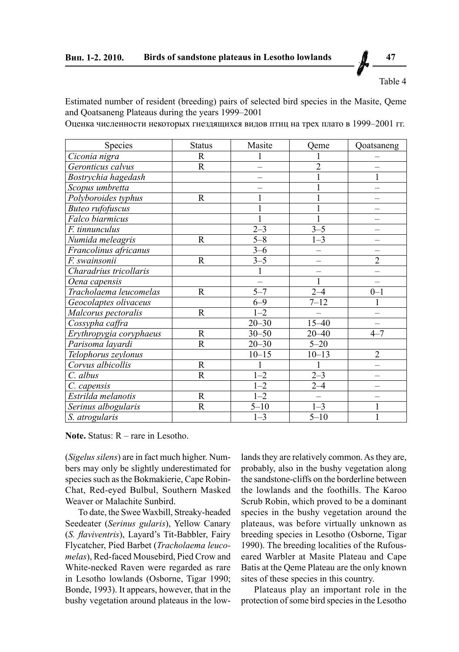Table 4

Estimated number of resident (breeding) pairs of selected bird species in the Masite, Qeme and Qoatsaneng Plateaus during the years 1999–2001

Оценка численности некоторых гнездящихся видов птиц на трех плато в 1999–2001 гг.

| Species                 | <b>Status</b>           | Masite    | Qeme                | Qoatsaneng     |
|-------------------------|-------------------------|-----------|---------------------|----------------|
| Ciconia nigra           | R                       |           |                     |                |
| Geronticus calvus       | $\mathbf R$             |           | $\overline{2}$      |                |
| Bostrychia hagedash     |                         |           |                     | 1              |
| Scopus umbretta         |                         |           |                     |                |
| Polyboroides typhus     | $\mathbf R$             |           |                     |                |
| <b>Buteo</b> rufofuscus |                         |           |                     |                |
| Falco biarmicus         |                         |           |                     |                |
| F. tinnunculus          |                         | $2 - 3$   | $3 - 5$             |                |
| Numida meleagris        | R                       | $5 - 8$   | $1 - 3$             |                |
| Francolinus africanus   |                         | $3 - 6$   |                     |                |
| F. swainsonii           | $\mathbf R$             | $3 - 5$   |                     | $\overline{2}$ |
| Charadrius tricollaris  |                         |           |                     |                |
| Oena capensis           |                         |           | 1                   |                |
| Tracholaema leucomelas  | $\mathbf R$             | $5 - 7$   | $2 - 4$             | $0 - 1$        |
| Geocolaptes olivaceus   |                         | $6 - 9$   | $7 - 12$            |                |
| Malcorus pectoralis     | R                       | $1 - 2$   |                     |                |
| Cossypha caffra         |                         | $20 - 30$ | $15 - 40$           |                |
| Erythropygia coryphaeus | R                       | $30 - 50$ | $20 - 40$           | $4 - 7$        |
| Parisoma layardi        | R                       | $20 - 30$ | $5 - 20$            |                |
| Telophorus zeylonus     |                         | $10 - 15$ | $10 - 13$           | $\overline{2}$ |
| Corvus albicollis       | R                       |           |                     |                |
| C. albus                | $\overline{\mathsf{R}}$ | $1 - 2$   | $2 - 3$             |                |
| C. capensis             |                         | $-2$      | $2 - 4$             |                |
| Estrilda melanotis      | $\mathbf R$             | $-2$      |                     |                |
| Serinus albogularis     | R                       | $5 - 10$  | $1 - 3$             | 1              |
| S. atrogularis          |                         | $1 - 3$   | $\overline{5} - 10$ |                |

**Note.** Status: R – rare in Lesotho.

(*Sigelus silens*) are in fact much higher. Numbers may only be slightly underestimated for species such as the Bokmakierie, Cape Robin-Chat, Red-eyed Bulbul, Southern Masked Weaver or Malachite Sunbird.

To date, the Swee Waxbill, Streaky-headed Seedeater (*Serinus gularis*), Yellow Canary (*S. flaviventris*), Layard's Tit-Babbler, Fairy Flycatcher, Pied Barbet (*Tracholaema leucomelas*), Red-faced Mousebird, Pied Crow and White-necked Raven were regarded as rare in Lesotho lowlands (Osborne, Tigar 1990; Bonde, 1993). It appears, however, that in the bushy vegetation around plateaus in the low-

lands they are relatively common. As they are, probably, also in the bushy vegetation along the sandstone-cliffs on the borderline between the lowlands and the foothills. The Karoo Scrub Robin, which proved to be a dominant species in the bushy vegetation around the plateaus, was before virtually unknown as breeding species in Lesotho (Osborne, Tigar 1990). The breeding localities of the Rufouseared Warbler at Masite Plateau and Cape Batis at the Qeme Plateau are the only known sites of these species in this country.

Plateaus play an important role in the protection of some bird species in the Lesotho